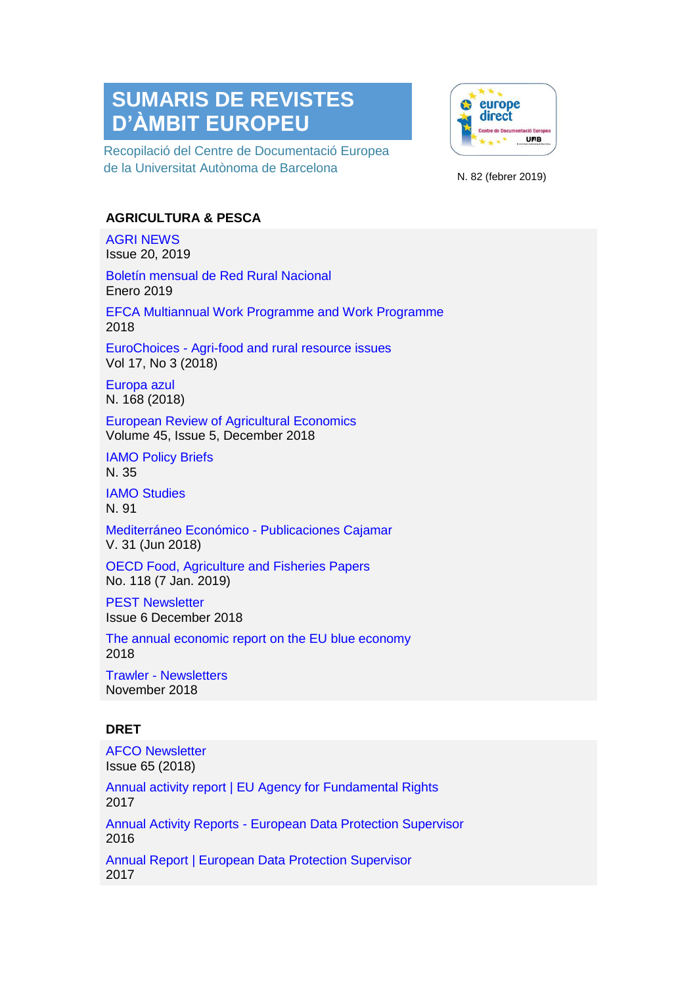# **SUMARIS DE REVISTES D'ÀMBIT EUROPEU**

Recopilació del Centre de Documentació Europea de la Universitat Autònoma de Barcelona



N. 82 (febrer 2019)

## **AGRICULTURA & PESCA**

[AGRI NEWS](http://www.europarl.europa.eu/committees/es/agri/newsletters.html)  Issue 20, 2019

Boletín mensual de Red Rural Nacional Enero 2019

[EFCA Multiannual Work Programme and Work Programme](https://www.efca.europa.eu/es/media-kits)  2018

EuroChoices - [Agri-food and rural resource issues](https://onlinelibrary.wiley.com/toc/1746692x/2018/17/2)  Vol 17, No 3 (2018)

[Europa azul](https://dialnet.unirioja.es/servlet/revista?codigo=3030)  N. 168 (2018)

[European Review of Agricultural Economics](https://academic.oup.com/erae)  Volume 45, Issue 5, December 2018

[IAMO Policy Briefs](https://www.iamo.de/en/publications/iamo-policy-briefs/) N. 35

[IAMO Studies](https://www.iamo.de/en/publications/iamo-studies/)  N. 91

[Mediterráneo Económico -](http://www.publicacionescajamar.es/publicaciones-periodicas/mediterraneo-economico/) Publicaciones Cajamar V. 31 (Jun 2018)

[OECD Food, Agriculture and Fisheries Papers](http://www.oecd-ilibrary.org/agriculture-and-food/oecd-food-agriculture-and-fisheries-working-papers_18156797)  No. 118 (7 Jan. 2019)

[PEST Newsletter](http://www.europarl.europa.eu/committees/es/pest/newsletters.html)  Issue 6 December 2018

[The annual economic report on the EU blue economy](https://ec.europa.eu/maritimeaffairs/documentation/brochures/2018-annual-economic-report-eu-blue-economy_en)  2018

Trawler - [Newsletters](http://www.europarl.europa.eu/committees/es/pech/newsletters.html)  November 2018

# **DRET**

[AFCO Newsletter](http://www.europarl.europa.eu/committees/es/afco/newsletters.html)  Issue 65 (2018) [Annual activity report | EU Agency for Fundamental Rights](https://fra.europa.eu/en/about-fra/what-we-do/annual-activity-programme)  2017 Annual Activity Reports - [European Data Protection Supervisor](https://edps.europa.eu/press-publications/publications/annual-activity-reports_en)  2016 [Annual Report | European Data Protection Supervisor](https://edps.europa.eu/annual-reports_en)  2017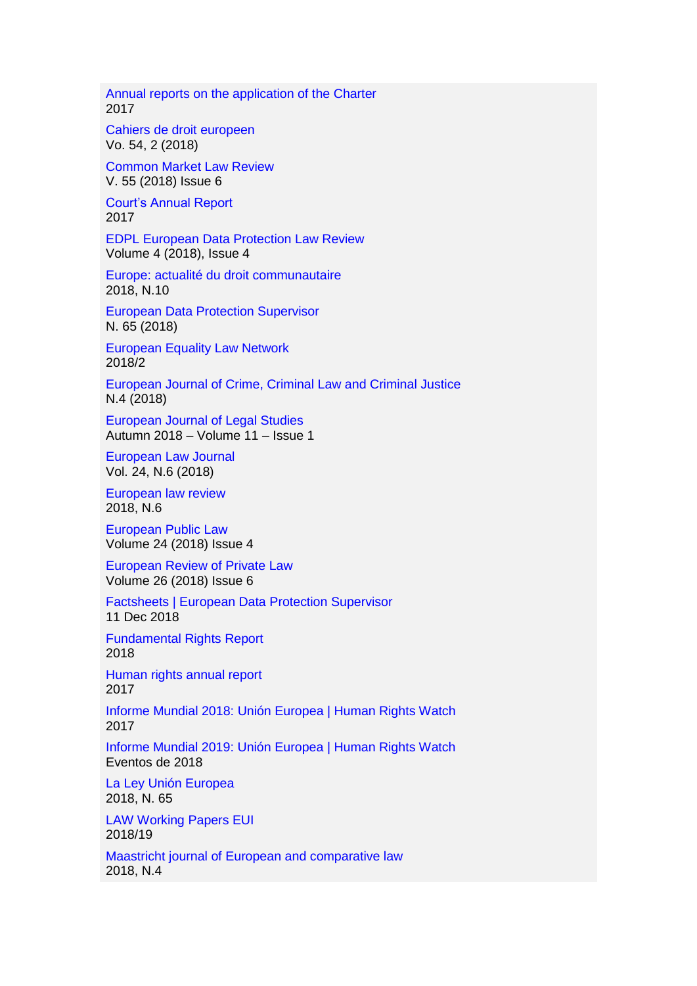[Annual reports on the application of the Charter](https://ec.europa.eu/info/aid-development-cooperation-fundamental-rights/your-rights-eu/eu-charter-fundamental-rights/application-charter/annual-reports-application-charter_en)  2017

Cahiers de [droit europeen](https://dialnet.unirioja.es/servlet/revista?codigo=257)  Vo. 54, 2 (2018)

[Common Market Law Review](http://www.kluwerlawonline.com/toc.php?area=Journals&mode=bypub&level=4&values=Journals~~Common+Market+Law+Review)  V. 55 (2018) Issue 6

[Court's Annual Report](https://www.echr.coe.int/Pages/home.aspx?p=court/annualreports&c=)  2017

[EDPL European Data Protection Law Review](https://edpl.lexxion.eu/current_issue/EDPL)  Volume 4 (2018), Issue 4

[Europe: actualité du droit communautaire](https://dialnet.unirioja.es/servlet/revista?codigo=12886)  2018, N.10

[European Data Protection Supervisor](https://edps.europa.eu/press-publications/publications/newsletters_en)  N. 65 (2018)

[European Equality Law Network](http://www.equalitylaw.eu/)  2018/2

[European Journal of Crime, Criminal Law and Criminal Justice](https://dialnet.unirioja.es/servlet/revista?codigo=8427) N.4 (2018)

[European Journal of Legal Studies](https://ejls.eui.eu/category/issues/)  Autumn 2018 – Volume 11 – Issue 1

[European Law Journal](https://onlinelibrary.wiley.com/toc/14680386/2018/24/4-5)  Vol. 24, N.6 (2018)

[European law review](https://dialnet.unirioja.es/servlet/revista?codigo=573)  2018, N.6

[European Public Law](http://www.kluwerlawonline.com/toc.php?area=Journals&mode=bypub&level=4&values=Journals~~European+Public+Law)  Volume 24 (2018) Issue 4

[European Review of Private Law](http://www.kluwerlawonline.com/toc.php?area=Journals&mode=bypub&level=4&values=Journals~~European+Review+of+Private+Law)  Volume 26 (2018) Issue 6

[Factsheets | European Data Protection Supervisor](https://edps.europa.eu/press-publications/publications/factsheets_en)  11 Dec 2018

[Fundamental Rights Report](https://fra.europa.eu/en/publications-and-resources/publications/annual-reports/fundamental-rights-2018)  2018

[Human rights annual report](https://eeas.europa.eu/headquarters/headquarters-homepage/8437/eu-annual-reports-human-rights-and-democratisation_en)  2017

[Informe Mundial 2018: Unión Europea | Human Rights Watch](https://www.hrw.org/es/world-report/2018/country-chapters/313653)  2017

[Informe Mundial 2019: Unión Europea | Human Rights Watch](https://www.hrw.org/es/world-report/2019/country-chapters/325723)  Eventos de 2018

[La Ley Unión Europea](https://dialnet.unirioja.es/servlet/revista?codigo=22187)  2018, N. 65

[LAW Working Papers EUI](http://cadmus.eui.eu/handle/1814/3/browse?type=dateissued)  2018/19

[Maastricht journal of European and comparative law](https://dialnet.unirioja.es/servlet/revista?codigo=14995)  2018, N.4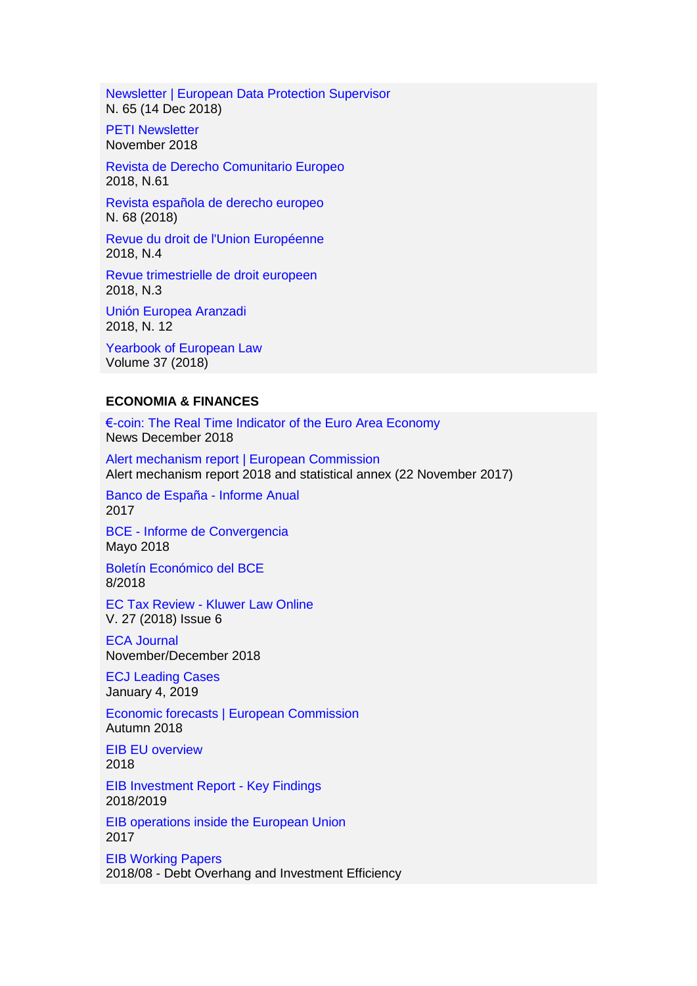[Newsletter | European Data Protection Supervisor](https://edps.europa.eu/press-publications/press-news/newsletters_en)  N. 65 (14 Dec 2018)

**PETI Newsletter** November 2018

[Revista de Derecho Comunitario Europeo](https://dialnet.unirioja.es/servlet/revista?codigo=1142)  2018, N.61

[Revista española de derecho europeo](https://dialnet.unirioja.es/servlet/revista?codigo=3157)  N. 68 (2018)

[Revue du droit de l'Union Européenne](https://dialnet.unirioja.es/servlet/revista?codigo=1272)  2018, N.4

[Revue trimestrielle de droit europeen](https://dialnet.unirioja.es/servlet/revista?codigo=1293)  2018, N.3

[Unión Europea Aranzadi](https://dialnet.unirioja.es/servlet/revista?codigo=1713)  2018, N. 12

[Yearbook of European Law](https://academic.oup.com/yel/issue/volume/36)  Volume 37 (2018)

#### **ECONOMIA & FINANCES**

[€-coin: The Real Time Indicator of the Euro Area Economy](http://eurocoin.cepr.org/)  News December 2018

Alert mechanism report | European Commission Alert mechanism report 2018 and statistical annex (22 November 2017)

[Banco de España -](https://www.bde.es/bde/es/secciones/informes/Publicaciones_an/Informe_anual/) Informe Anual 2017

BCE - [Informe de Convergencia](https://www.bde.es/bde/es/secciones/informes/Publicaciones_de/Informe_de_Conve/)  Mayo 2018

[Boletín Económico del BCE](https://www.bde.es/bde/es/secciones/informes/Publicaciones_de/boletin-economic/)  8/2018

EC Tax Review - [Kluwer Law Online](http://www.kluwerlawonline.com/toc.php?area=Journals&mode=bypub&level=4&values=Journals~~EC+Tax+Review)  V. 27 (2018) Issue 6

[ECA Journal](https://www.eca.europa.eu/en/Pages/Journal.aspx)  November/December 2018

[ECJ Leading Cases](https://ecjleadingcases.wordpress.com/about/)  January 4, 2019

[Economic forecasts | European Commission](https://ec.europa.eu/info/business-economy-euro/economic-performance-and-forecasts/economic-forecasts_en)  Autumn 2018

[EIB EU overview](http://www.eib.org/en/infocentre/publications/all/econ-eibis-2018-eu-overview.htm)  2018

[EIB Investment Report -](http://www.eib.org/en/infocentre/publications/all/investment-report-2018-key-findings.htm) Key Findings 2018/2019

[EIB operations inside the European Union](http://www.eib.org/en/infocentre/publications/all/2017-annual-report-on-eib-operations-inside-the-eu.htm)  2017

[EIB Working Papers](http://www.eib.org/en/infocentre/publications/all/economics-working-paper-2018-07.htm)  2018/08 - Debt Overhang and Investment Efficiency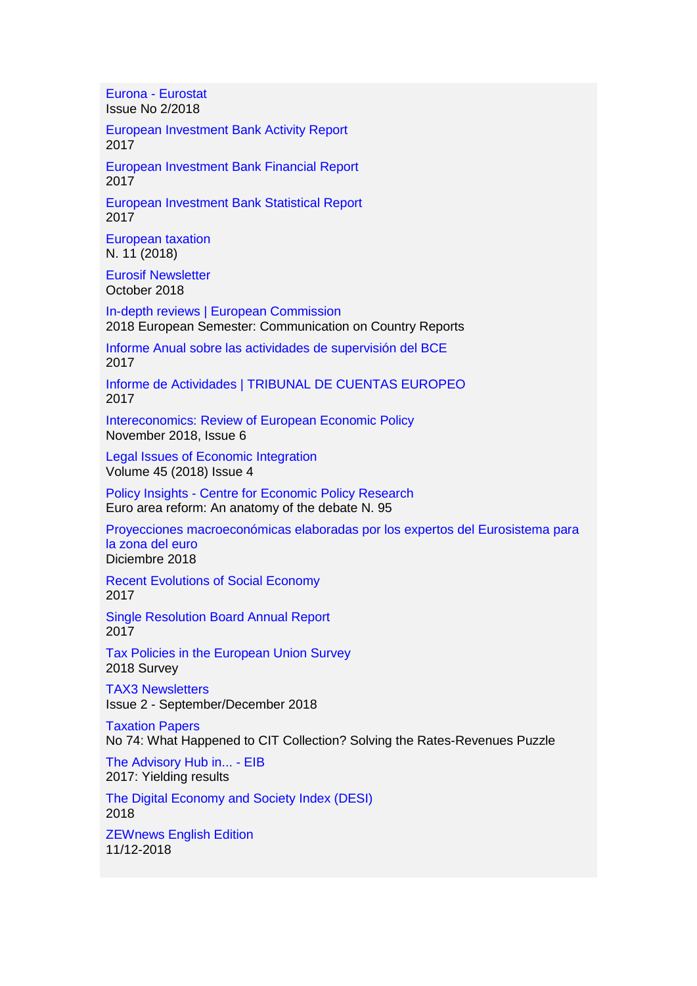Eurona - [Eurostat](https://ec.europa.eu/eurostat/web/national-accounts/publications/eurona)  Issue No 2/2018

[European Investment Bank Activity Report](http://www.eib.org/en/infocentre/publications/all/activity-report-2017.htm)  2017

[European Investment Bank Financial Report](http://www.eib.org/en/infocentre/publications/all/financial-report-2017.htm)  2017

[European Investment Bank Statistical Report](http://www.eib.org/en/infocentre/publications/all/statistical-report-2017.htm)  2017

[European taxation](https://dialnet.unirioja.es/servlet/revista?codigo=16428)  N. 11 (2018)

[Eurosif Newsletter](http://www.eurosif.org/newsletter-archive/)  October 2018

[In-depth reviews | European Commission](https://ec.europa.eu/info/business-economy-euro/economic-and-fiscal-policy-coordination/eu-economic-governance-monitoring-prevention-correction/macroeconomic-imbalance-procedure/depth-reviews_en)  2018 European Semester: Communication on Country Reports

[Informe Anual sobre las actividades de supervisión del BCE](https://www.bde.es/bde/es/secciones/informes/Publicaciones_de/inform-anual-mus/)  2017

[Informe de Actividades | TRIBUNAL DE CUENTAS EUROPEO](https://www.eca.europa.eu/es/Pages/AnnualActivityReports.aspx)  2017

[Intereconomics: Review of European Economic Policy](https://link.springer.com/journal/volumesAndIssues/10272)  November 2018, Issue 6

[Legal Issues of Economic Integration](http://www.kluwerlawonline.com/toc.php?area=Journals&mode=bypub&level=4&values=Journals~~Legal+Issues+of+Economic+Integration)  Volume 45 (2018) Issue 4

Policy Insights - [Centre for Economic Policy Research](https://cepr.org/active/publications/policy_insights/pilist.php)  Euro area reform: An anatomy of the debate N. 95

[Proyecciones macroeconómicas elaboradas por los expertos del Eurosistema para](https://www.bde.es/bde/es/secciones/informes/Publicaciones_de/Proyecciones_mac/)  [la zona del euro](https://www.bde.es/bde/es/secciones/informes/Publicaciones_de/Proyecciones_mac/)  Diciembre 2018

[Recent Evolutions of Social Economy](http://www.ciriec.uliege.be/en/publications/etudesrapports/recent-evolutions-of-social-economy-study/)  2017

[Single Resolution Board Annual Report](https://srb.europa.eu/en/node/585)  2017

[Tax Policies in the European Union Survey](https://ec.europa.eu/taxation_customs/business/company-tax/tax-good-governance/european-semester/tax-policies-european-union-survey_en)  2018 Survey

[TAX3 Newsletters](http://www.europarl.europa.eu/committees/es/tax3/newsletters.html)  Issue 2 - September/December 2018

[Taxation Papers](https://ec.europa.eu/taxation_customs/publications/taxation-services-papers/taxation-papers_en)  No 74: What Happened to CIT Collection? Solving the Rates-Revenues Puzzle

[The Advisory Hub in... -](http://www.eib.org/en/infocentre/publications/all/eiah-annual-report-2017.htm) EIB 2017: Yielding results

[The Digital Economy and Society Index \(DESI\)](https://ec.europa.eu/digital-single-market/en/desi)  2018

[ZEWnews English Edition](http://www.zew.de/en/publikationen/zew-periodika/zewnews/)  11/12-2018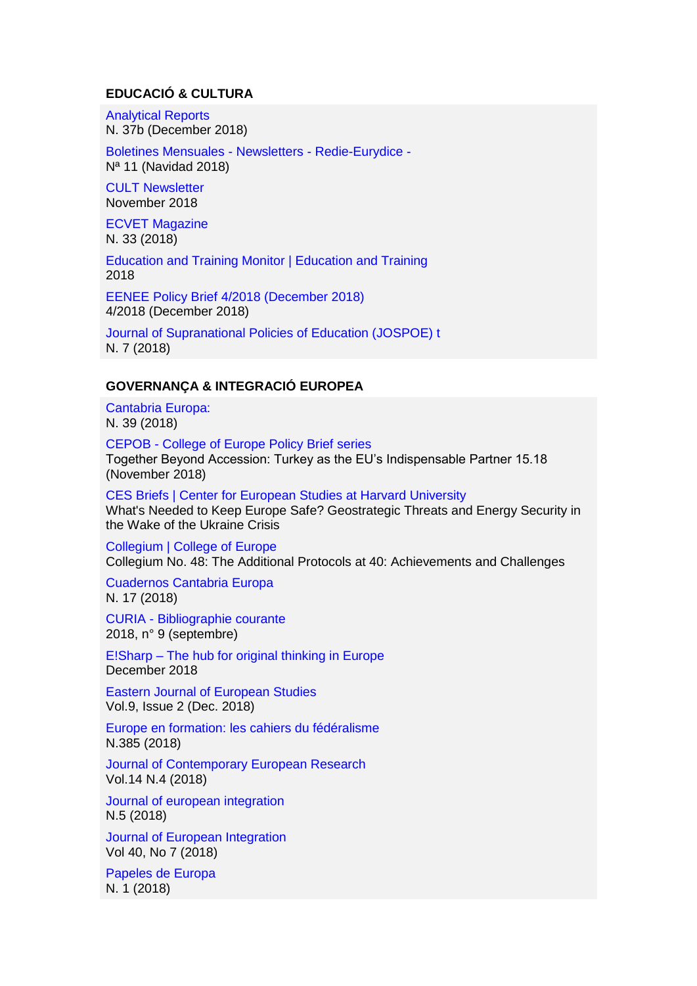#### **EDUCACIÓ & CULTURA**

[Analytical Reports](http://www.eenee.de/eeneeHome/EENEE/Analytical-Reports.html)  N. 37b (December 2018)

[Boletines Mensuales -](https://www.mecd.gob.es/educacion/mc/redie-eurydice/inicio/boletines-mensuales.html) Newsletters - Redie-Eurydice - Nª 11 (Navidad 2018)

[CULT Newsletter](http://www.europarl.europa.eu/committees/es/cult/newsletters.html)  November 2018

[ECVET Magazine](http://www.ecvet-secretariat.eu/en/magazine)  N. 33 (2018)

[Education and Training Monitor | Education and Training](https://ec.europa.eu/education/policy/strategic-framework/et-monitor_es)  2018

EENEE Policy Brief [4/2018 \(December 2018\)](http://www.eenee.de/eeneeHome/EENEE/Policy-Briefs.html)  4/2018 (December 2018)

[Journal of Supranational Policies of Education \(JOSPOE\) t](https://dialnet.unirioja.es/servlet/revista?codigo=21604)  N. 7 (2018)

#### **GOVERNANÇA & INTEGRACIÓ EUROPEA**

[Cantabria Europa:](https://dialnet.unirioja.es/servlet/revista?codigo=18750)  N. 39 (2018)

CEPOB - [College of Europe Policy Brief series](https://www.coleurope.eu/research/publications/cepob-college-europe-policy-brief-series)  Together Beyond Accession: Turkey as the EU's Indispensable Partner 15.18 (November 2018)

[CES Briefs | Center for European Studies at Harvard University](https://ces.fas.harvard.edu/research/ces-briefs-1)  What's Needed to Keep Europe Safe? Geostrategic Threats and Energy Security in the Wake of the Ukraine Crisis

[Collegium | College of Europe](https://www.coleurope.eu/research/publications/collegium)  Collegium No. 48: The Additional Protocols at 40: Achievements and Challenges

[Cuadernos Cantabria Europa](https://dialnet.unirioja.es/servlet/revista?codigo=17898)  N. 17 (2018)

CURIA - [Bibliographie courante](https://curia.europa.eu/jcms/jcms/Jo2_11939/bibliographie-courante)  2018, n° 9 (septembre)

E!Sharp – [The hub for original thinking in Europe](http://esharp.eu/)  December 2018

[Eastern Journal of European Studies](http://ejes.uaic.ro/current_issue.htm)  Vol.9, Issue 2 (Dec. 2018)

[Europe en formation: les cahiers du fédéralisme](https://dialnet.unirioja.es/servlet/revista?codigo=15364)  N.385 (2018)

[Journal of Contemporary European Research](http://www.jcer.net/index.php/jcer)  Vol.14 N.4 (2018)

[Journal of european integration](https://dialnet.unirioja.es/servlet/revista?codigo=1259)  N.5 (2018)

[Journal of European Integration](https://www.tandfonline.com/toc/geui20/current)  Vol 40, No 7 (2018)

[Papeles de Europa](https://dialnet.unirioja.es/servlet/revista?codigo=12671)  N. 1 (2018)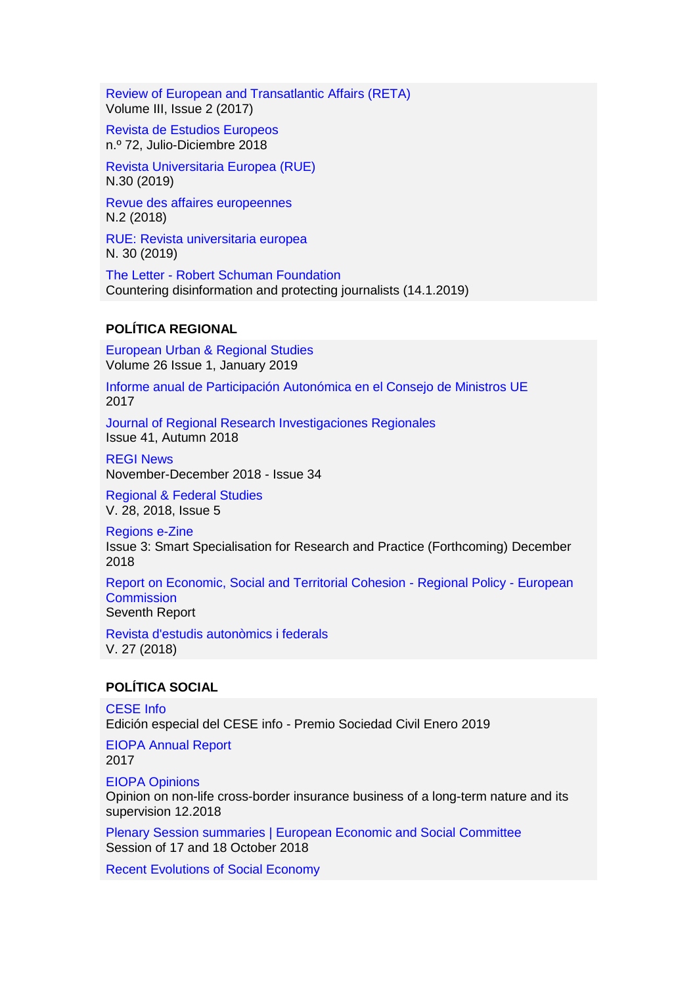[Review of European and Transatlantic Affairs \(RETA\)](https://www.europeanhorizons.org/publications)  Volume III, Issue 2 (2017)

[Revista de Estudios Europeos](http://www.ree-uva.es/)  n.º 72, Julio-Diciembre 2018

[Revista Universitaria Europea \(RUE\)](http://www.revistarue.eu/rue5.htm)  N.30 (2019)

[Revue des affaires europeennes](https://dialnet.unirioja.es/servlet/revista?codigo=1267)  N.2 (2018)

[RUE: Revista universitaria europea](https://dialnet.unirioja.es/servlet/revista?codigo=5768)  N. 30 (2019)

The Letter - [Robert Schuman Foundation](http://www.robert-schuman.eu/en/the-letter/769)  Countering disinformation and protecting journalists (14.1.2019)

### **POLÍTICA REGIONAL**

[European Urban & Regional Studies](https://dialnet.unirioja.es/servlet/revista?codigo=20811)  Volume 26 Issue 1, January 2019

[Informe anual de Participación Autonómica en el Consejo de Ministros UE](http://www.seat.mpr.gob.es/portal/areas/politica_autonomica/participacion-ccaa-eu/ccaa_y_ue/Participacion_CCAA_Consejo_Ministros/informe_consejo_ministros_ue.html)  2017

[Journal of Regional Research Investigaciones Regionales](http://investigacionesregionales.org/)  Issue 41, Autumn 2018

[REGI News](http://www.europarl.europa.eu/committees/es/regi/newsletters.html)  November-December 2018 - Issue 34

[Regional & Federal Studies](http://www.tandfonline.com/toc/frfs20/current)  V. 28, 2018, Issue 5

[Regions e-Zine](https://regions.regionalstudies.org/)  Issue 3: Smart Specialisation for Research and Practice (Forthcoming) December 2018

[Report on Economic, Social and Territorial Cohesion -](https://ec.europa.eu/regional_policy/en/information/cohesion-report/) Regional Policy - European **Commission** Seventh Report

[Revista d'estudis autonòmics i federals](https://dialnet.unirioja.es/servlet/revista?codigo=7191)  V. 27 (2018)

#### **POLÍTICA SOCIAL**

[CESE Info](https://www.eesc.europa.eu/es/news-media/eesc-info)  Edición especial del CESE info - Premio Sociedad Civil Enero 2019

[EIOPA Annual Report](https://eiopa.europa.eu/publications/annual-reports)  2017

[EIOPA Opinions](https://eiopa.europa.eu/publications/eiopa-opinions)  Opinion on non-life cross-border insurance business of a long-term nature and its supervision 12.2018

[Plenary Session summaries | European Economic and Social Committee](https://www.eesc.europa.eu/es/our-work/opinions-information-reports/plenary-session-summaries)  Session of 17 and 18 October 2018

[Recent Evolutions of Social Economy](http://www.ciriec.uliege.be/en/publications/etudesrapports/recent-evolutions-of-social-economy-study/)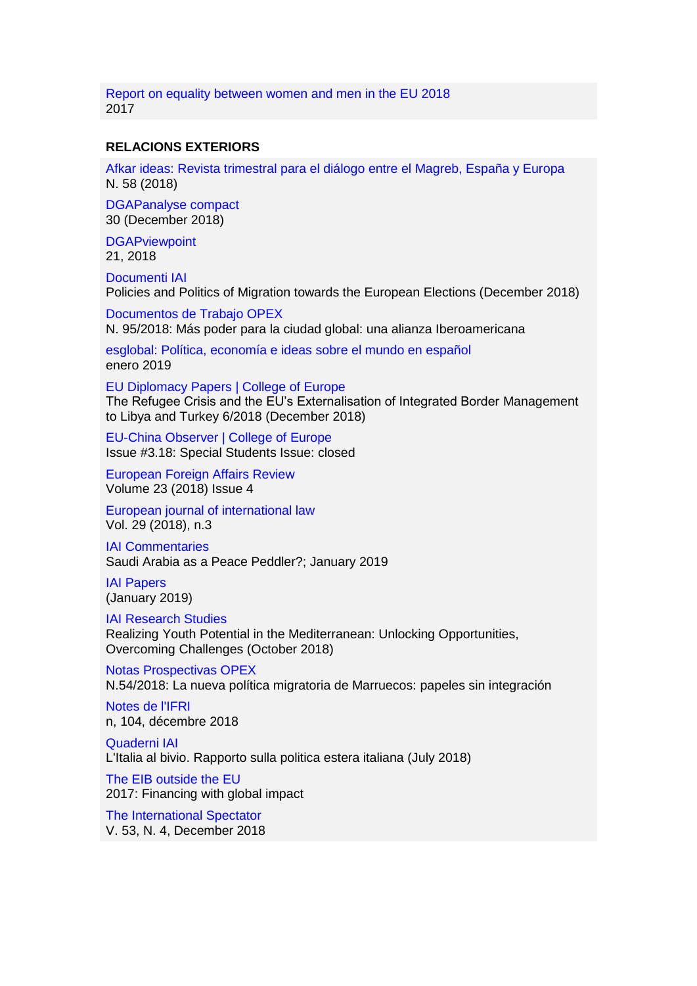[Report on equality between women and men in the EU 2018](https://publications.europa.eu/en/publication-detail/-/publication/950dce57-6222-11e8-ab9c-01aa75ed71a1)  2017

#### **RELACIONS EXTERIORS**

[Afkar ideas: Revista trimestral para el diálogo entre el Magreb, España y Europa](https://dialnet.unirioja.es/servlet/revista?codigo=5662)  N. 58 (2018)

[DGAPanalyse compact](https://dgap.org/en/think-tank/publications/dgap_analysis_compact)  30 (December 2018)

**DGAPviewpoint** 21, 2018

[Documenti IAI](https://www.iai.it/en/pubblicazioni/lista/all/documenti-iai)  Policies and Politics of Migration towards the European Elections (December 2018)

[Documentos de Trabajo OPEX](http://www.fundacionalternativas.org/observatorio-de-politica-exterior-opex/documentos/documentos-de-trabajo)  N. 95/2018: Más poder para la ciudad global: una alianza Iberoamericana

[esglobal: Política, economía e ideas sobre el mundo en español](http://www.esglobal.org/)  enero 2019

[EU Diplomacy Papers | College of Europe](https://www.coleurope.eu/study/eu-international-relations-and-diplomacy-studies/research-publications/eu-diplomacy-papers)  The Refugee Crisis and the EU's Externalisation of Integrated Border Management to Libya and Turkey 6/2018 (December 2018)

[EU-China Observer | College of Europe](https://www.coleurope.eu/study/eu-international-relations-and-diplomacy-studies/eu-china-relations/eu-china-observer)  Issue #3.18: Special Students Issue: closed

[European Foreign Affairs Review](http://www.kluwerlawonline.com/toc.php?pubcode=eerr)  Volume 23 (2018) Issue 4

[European journal of international law](https://dialnet.unirioja.es/servlet/revista?codigo=570)  Vol. 29 (2018), n.3

[IAI Commentaries](https://www.iai.it/en/pubblicazioni/lista/all/iai-commentaries)  Saudi Arabia as a Peace Peddler?; January 2019

[IAI Papers](https://www.iai.it/en/pubblicazioni/lista/all/iai-papers)  (January 2019)

[IAI Research Studies](https://www.iai.it/en/pubblicazioni/lista/all/iai-research-studies)  Realizing Youth Potential in the Mediterranean: Unlocking Opportunities, Overcoming Challenges (October 2018)

[Notas Prospectivas OPEX](http://www.fundacionalternativas.org/observatorio-de-politica-exterior-opex/documentos/notas-prospectivas)  N.54/2018: La nueva política migratoria de Marruecos: papeles sin integración

[Notes de l'IFRI](https://www.ifri.org/fr/publications?title=&field_contenugen_fc_auteur_int_target_id=All&field_themes_associes_tid=All&field_date_de_publication_value%5Bvalue%5D%5Byear%5D=&term_node_tid_depth_1=21&sort_by=field_date_de_publication_value&sort_order=DESC)  n, 104, décembre 2018

[Quaderni IAI](https://www.iai.it/en/pubblicazioni/lista/all/quaderni-iai)  L'Italia al bivio. Rapporto sulla politica estera italiana (July 2018)

[The EIB outside the EU](http://www.eib.org/en/infocentre/publications/all/eib-rem-annual-report-2017.htm)  2017: Financing with global impact

[The International Spectator](https://www.iai.it/en/pubblicazioni/lista/all/the-international-spectator)  V. 53, N. 4, December 2018